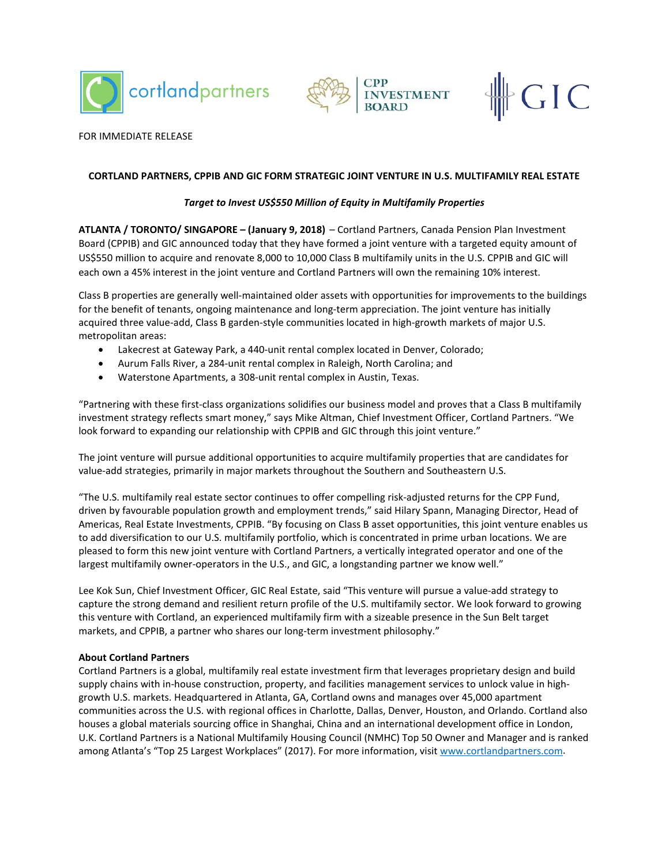





### FOR IMMEDIATE RELEASE

# **CORTLAND PARTNERS, CPPIB AND GIC FORM STRATEGIC JOINT VENTURE IN U.S. MULTIFAMILY REAL ESTATE**

## *Target to Invest US\$550 Million of Equity in Multifamily Properties*

**ATLANTA / TORONTO/ SINGAPORE – (January 9, 2018)** – Cortland Partners, Canada Pension Plan Investment Board (CPPIB) and GIC announced today that they have formed a joint venture with a targeted equity amount of US\$550 million to acquire and renovate 8,000 to 10,000 Class B multifamily units in the U.S. CPPIB and GIC will each own a 45% interest in the joint venture and Cortland Partners will own the remaining 10% interest.

Class B properties are generally well-maintained older assets with opportunities for improvements to the buildings for the benefit of tenants, ongoing maintenance and long-term appreciation. The joint venture has initially acquired three value-add, Class B garden-style communities located in high-growth markets of major U.S. metropolitan areas:

- Lakecrest at Gateway Park, a 440-unit rental complex located in Denver, Colorado;
- Aurum Falls River, a 284-unit rental complex in Raleigh, North Carolina; and
- Waterstone Apartments, a 308-unit rental complex in Austin, Texas.

"Partnering with these first-class organizations solidifies our business model and proves that a Class B multifamily investment strategy reflects smart money," says Mike Altman, Chief Investment Officer, Cortland Partners. "We look forward to expanding our relationship with CPPIB and GIC through this joint venture."

The joint venture will pursue additional opportunities to acquire multifamily properties that are candidates for value-add strategies, primarily in major markets throughout the Southern and Southeastern U.S.

"The U.S. multifamily real estate sector continues to offer compelling risk-adjusted returns for the CPP Fund, driven by favourable population growth and employment trends," said Hilary Spann, Managing Director, Head of Americas, Real Estate Investments, CPPIB. "By focusing on Class B asset opportunities, this joint venture enables us to add diversification to our U.S. multifamily portfolio, which is concentrated in prime urban locations. We are pleased to form this new joint venture with Cortland Partners, a vertically integrated operator and one of the largest multifamily owner-operators in the U.S., and GIC, a longstanding partner we know well."

Lee Kok Sun, Chief Investment Officer, GIC Real Estate, said "This venture will pursue a value-add strategy to capture the strong demand and resilient return profile of the U.S. multifamily sector. We look forward to growing this venture with Cortland, an experienced multifamily firm with a sizeable presence in the Sun Belt target markets, and CPPIB, a partner who shares our long-term investment philosophy."

### **About Cortland Partners**

Cortland Partners is a global, multifamily real estate investment firm that leverages proprietary design and build supply chains with in-house construction, property, and facilities management services to unlock value in highgrowth U.S. markets. Headquartered in Atlanta, GA, Cortland owns and manages over 45,000 apartment communities across the U.S. with regional offices in Charlotte, Dallas, Denver, Houston, and Orlando. Cortland also houses a global materials sourcing office in Shanghai, China and an international development office in London, U.K. Cortland Partners is a National Multifamily Housing Council (NMHC) Top 50 Owner and Manager and is ranked among Atlanta's "Top 25 Largest Workplaces" (2017). For more information, visit [www.cortlandpartners.com.](http://www.cortlandpartners.com/)